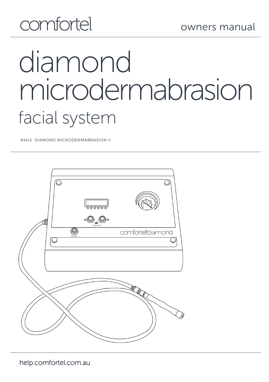## comfortel

# diamond microdermabrasion facial system

#5412 DIAMOND MICRODERMABRASION II



help.comfortel.com.au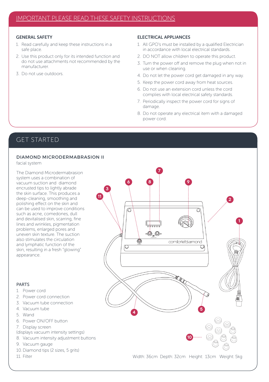#### GENERAL SAFETY

- 1. Read carefully and keep these instructions in a safe place.
- 2. Use this product only for its intended function and do not use attachments not recommended by the manufacturer.
- 3. Do not use outdoors.

#### ELECTRICAL APPLIANCES

- 1. All GPO's must be installed by a qualified Electrician in accordance with local electrical standards.
- 2. DO NOT allow children to operate this product.
- 3. Turn the power off and remove the plug when not in use or when cleaning.
- 4. Do not let the power cord get damaged in any way.
- 5. Keep the power cord away from heat sources.
- 6. Do not use an extension cord unless the cord complies with local electrical safety standards.
- 7. Periodically inspect the power cord for signs of damage.
- 8. Do not operate any electrical item with a damaged power cord.

## GET STARTED

#### DIAMOND MICRODERMABRASION II

facial system

The Diamond Microdermabrasion system uses a combination of vacuum suction and diamond encrusted tips to lightly abrade the skin surface. This produces a deep-cleaning, smoothing and polishing effect on the skin and can be used to improve conditions such as acne, comedones, dull and devitalised skin, scarring, fine lines and wrinkles, pigmentation problems, enlarged pores and uneven skin texture. The suction also stimulates the circulation and lymphatic function of the skin, resulting in a fresh "glowing" appearance.

#### PARTS

- 1. Power cord
- 2. Power cord connection
- 3. Vacuum tube connection
- 4. Vacuum tube
- 5. Wand
- 6. Power ON/OFF button
- 7. Display screen
- (displays vacuum intensity settings)
- 8. Vacuum intensity adjustment buttons
- 9. Vacuum gauge
- 10. Diamond tips (2 sizes, 5 grits)
- 11. Filter

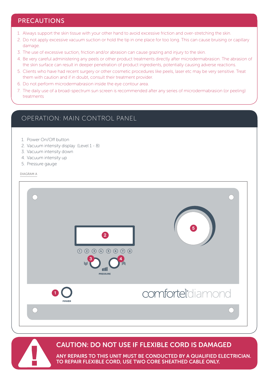## PRECAUTIONS

- 1. Always support the skin tissue with your other hand to avoid excessive friction and over-stretching the skin.
- 2. Do not apply excessive vacuum suction or hold the tip in one place for too long. This can cause bruising or capillary damage.
- 3. The use of excessive suction, friction and/or abrasion can cause grazing and injury to the skin.
- 4. Be very careful administering any peels or other product treatments directly after microdermabrasion. The abrasion of the skin surface can result in deeper penetration of product ingredients, potentially causing adverse reactions.
- 5. Clients who have had recent surgery or other cosmetic procedures like peels, laser etc may be very sensitive. Treat them with caution and if in doubt, consult their treatment provider.
- 6. Do not perform microdermabrasion inside the eye contour area.
- 7. The daily use of a broad-spectrum sun screen is recommended after any series of microdermabrasion (or peeling) treatments

## OPERATION: MAIN CONTROL PANEL

- 1. Power On/Off button
- 2. Vacuum intensity display (Level 1 8)
- 3. Vacuum intensity down
- 4. Vacuum intensity up
- 5. Pressure gauge

DIAGRAM A





## CAUTION: DO NOT USE IF FLEXIBLE CORD IS DAMAGED

ANY REPAIRS TO THIS UNIT MUST BE CONDUCTED BY A QUALIFIED ELECTRICIAN. TO REPAIR FLEXIBLE CORD, USE TWO CORE SHEATHED CABLE ONLY.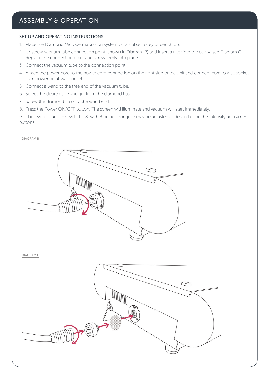## ASSEMBLY & OPERATION

#### SET UP AND OPERATING INSTRUCTIONS

- 1. Place the Diamond Microdermabrasion system on a stable trolley or benchtop.
- 2. Unscrew vacuum tube connection point (shown in Diagram B) and insert a filter into the cavity (see Diagram C). Replace the connection point and screw firmly into place.
- 3. Connect the vacuum tube to the connection point.
- 4. Attach the power cord to the power cord connection on the right side of the unit and connect cord to wall socket. Turn power on at wall socket.
- 5. Connect a wand to the free end of the vacuum tube.
- 6. Select the desired size and grit from the diamond tips.
- 7. Screw the diamond tip onto the wand end.
- 8. Press the Power ON/OFF button. The screen will illuminate and vacuum will start immediately.

9. The level of suction (levels 1 – 8, with 8 being strongest) may be adjusted as desired using the Intensity adjustment buttons .

#### DIAGRAM B

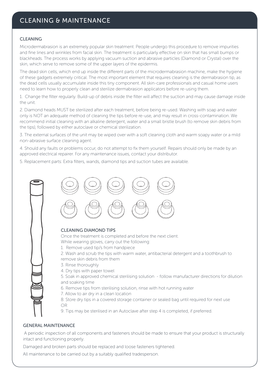## CLEANING & MAINTENANCE

#### CLEANING

Microdermabrasion is an extremely popular skin treatment. People undergo this procedure to remove impurities and fine lines and wrinkles from facial skin. The treatment is particularly effective on skin that has small bumps or blackheads. The process works by applying vacuum suction and abrasive particles (Diamond or Crystal) over the skin, which serve to remove some of the upper layers of the epidermis.

The dead skin cells, which end up inside the different parts of the microdermabrasion machine, make the hygiene of these gadgets extremely critical. The most important element that requires cleaning is the dermabrasion tip, as the dead cells usually accumulate inside this tiny component. All skin-care professionals and casual home users need to learn how to properly clean and sterilize dermabrasion applicators before re-using them.

1. Change the filter regularly. Build-up of debris inside the filter will affect the suction and may cause damage inside the unit.

2. Diamond heads MUST be sterilized after each treatment, before being re-used. Washing with soap and water only is NOT an adequate method of cleaning the tips before re-use, and may result in cross-contamination. We recommend initial cleaning with an alkaline detergent, water and a small bristle brush (to remove skin debris from the tips), followed by either autoclave or chemical sterilization.

3. The external surfaces of the unit may be wiped over with a soft cleaning cloth and warm soapy water or a mild non-abrasive surface cleaning agent.

4. Should any faults or problems occur, do not attempt to fix them yourself. Repairs should only be made by an approved electrical repairer. For any maintenance issues, contact your distributor.

5. Replacement parts: Extra filters, wands, diamond tips and suction tubes are available.



#### GENERAL MAINTENANCE

A periodic inspection of all components and fasteners should be made to ensure that your product is structurally intact and functioning properly.

Damaged and broken parts should be replaced and loose fasteners tightened.

All maintenance to be carried out by a suitably qualified tradesperson.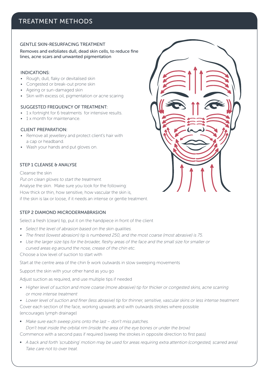## TREATMENT METHODS

#### GENTLE SKIN-RESURFACING TREATMENT

Removes and exfoliates dull, dead skin cells, to reduce fine lines, acne scars and unwanted pigmentation

#### INDICATIONS:

- Rough, dull, flaky or devitalised skin
- Congested or break-out prone skin
- Ageing or sun-damaged skin
- Skin with excess oil, pigmentation or acne scaring

#### SUGGESTED FREQUENCY OF TREATMENT:

- 1 x fortnight for 6 treatments for intensive results.
- 1 x month for maintenance.

#### CLIENT PREPARATION:

- Remove all jewellery and protect client's hair with a cap or headband.
- Wash your hands and put gloves on.

#### STEP 1 CLEANSE & ANALYSE

Cleanse the skin Put on clean gloves to start the treatment. Analyse the skin. Make sure you look for the following: How thick or thin, how sensitive, how vascular the skin is, if the skin is lax or loose, if it needs an intense or gentle treatment.

#### STEP 2 DIAMOND MICRODERMABRASION

Select a fresh (clean) tip, put it on the handpiece in front of the client

- Select the level of abrasion based on the skin qualities.
- The finest (lowest abrasion) tip is numbered 250, and the most coarse (most abrasive) is 75.
- Use the larger size tips for the broader, fleshy areas of the face and the small size for smaller or curved areas eg around the nose, crease of the chin etc.

Choose a low level of suction to start with

Start at the centre area of the chin & work outwards in slow sweeping movements

Support the skin with your other hand as you go

Adjust suction as required, and use multiple tips if needed

• Higher level of suction and more coarse (more abrasive) tip for thicker or congested skins, acne scarring or more intense treatment

• Lower level of suction and finer (less abrasive) tip for thinner, sensitive, vascular skins or less intense treatment Cover each section of the face, working upwards and with outwards strokes where possible (encourages lymph drainage)

• Make sure each sweep joins onto the last – don't miss patches. Don't treat inside the orbital rim (inside the area of the eye bones or under the brow)

Commence with a second pass if required (sweep the strokes in opposite direction to first pass)

• A back and forth 'scrubbing' motion may be used for areas requiring extra attention (congested, scarred area) Take care not to over treat.

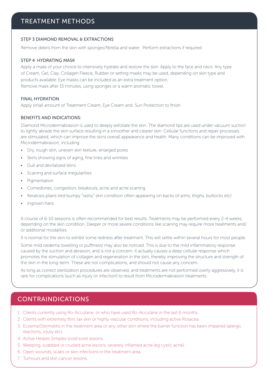## TREATMENT METHODS

#### STEP 3 DIAMOND REMOVAL & EXTRACTIONS

Remove debris from the skin with sponges/fibrella and water. Perform extractions if required.

#### STEP 4 HYDRATING MASK

Apply a mask of your choice to intensively hydrate and restore the skin. Apply to the face and neck. Any type of Cream, Gel, Clay, Collagen Fleece, Rubber or setting masks may be used, depending on skin type and products available. Eye masks can be included as an extra treatment option. Remove mask after 15 minutes, using sponges or a warm aromatic towel.

#### FINAL HYDRATION

Apply small amount of Treatment Cream, Eye Cream and Sun Protection to finish.

#### BENEFITS AND INDICATIONS:

Diamond Microdermabrasion is used to deeply exfoliate the skin. The diamond tips are used under vacuum suction to lightly abrade the skin surface resulting in a smoother and clearer skin. Cellular functions and repair processes are stimulated, which can improve the skins overall appearance and health. Many conditions can be improved with Microdermabrasion, including:

- Dry, rough skin, uneven skin texture, enlarged pores
- Skins showing signs of aging, fine lines and wrinkles
- Dull and devitalized skins
- Scarring and surface irregularities
- **Pigmentation**
- Comedones, congestion, breakouts, acne and acne scarring
- Keratosis pilaris (red bumpy "rashy" skin condition often appearing on backs of arms, thighs, buttocks etc)
- Ingrown hairs

A course of 6-10 sessions is often recommended for best results. Treatments may be performed every 2-4 weeks, depending on the skin condition. Deeper or more severe conditions like scarring may require more treatments and/ or additional modalities.

It is normal for the skin to exhibit some redness after treatment. This will settle within several hours for most people.

Some mild oedema (swelling or puffiness) may also be noticed. This is due to the mild inflammatory response caused by the suction and abrasion, and is not a concern. It actually causes a deep cellular response which promotes the stimulation of collagen and regeneration in the skin, thereby improving the structure and strength of the skin in the long-term. These are not complications, and should not cause any concern.

As long as correct sterilization procedures are observed, and treatments are not performed overly aggressively, it is rare for complications (such as injury or infection) to result from Microdermabrasion treatments.

## CONTRAINDICATIONS

- 1. Clients currently using Ro-Accutane, or who have used Ro-Accutane in the last 6 months.
- 2. Clients with extremely thin, lax skin or highly vascular conditions, including active Rosacea.
- 3. Eczema/Dermatitis in the treatment area or any other skin where the barrier function has been impaired (allergic reactions, injury etc)
- 4. Active Herpes Simplex (cold sore) lesions.
- 5. Weeping, scabbed or crusted acne lesions, severely inflamed acne (eg cystic acne).
- 6. Open wounds, scabs or skin infections in the treatment area.
- 7. Tumours and skin cancer lesions.